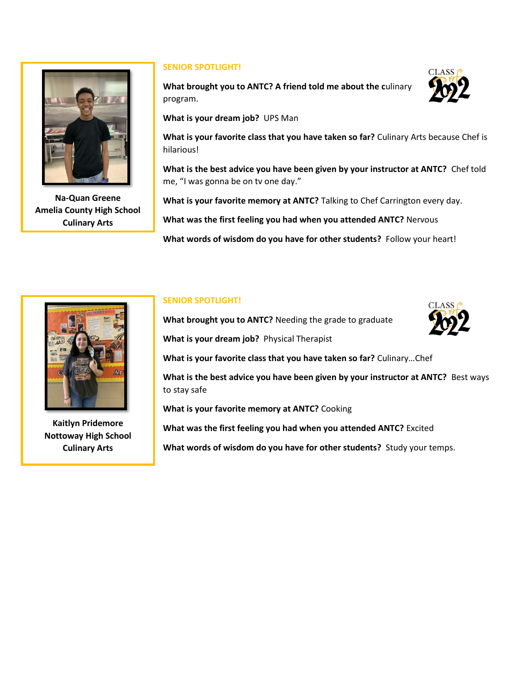

**Na-Quan Greene Amelia County High School Culinary Arts**

## **SENIOR SPOTLIGHT!**

**What brought you to ANTC? A friend told me about the c**ulinary program.

**What is your dream job?** UPS Man

**What is your favorite class that you have taken so far?** Culinary Arts because Chef is hilarious!

**What is the best advice you have been given by your instructor at ANTC?** Chef told me, "I was gonna be on tv one day."

**What is your favorite memory at ANTC?** Talking to Chef Carrington every day.

**What was the first feeling you had when you attended ANTC?** Nervous

**What words of wisdom do you have for other students?** Follow your heart!



**Kaitlyn Pridemore Nottoway High School Culinary Arts**

## **SENIOR SPOTLIGHT!**

**What brought you to ANTC?** Needing the grade to graduate



**What is your dream job?** Physical Therapist

**What is your favorite class that you have taken so far?** Culinary…Chef

**What is the best advice you have been given by your instructor at ANTC?** Best ways to stay safe

**What is your favorite memory at ANTC?** Cooking

**What was the first feeling you had when you attended ANTC?** Excited

**What words of wisdom do you have for other students?** Study your temps.

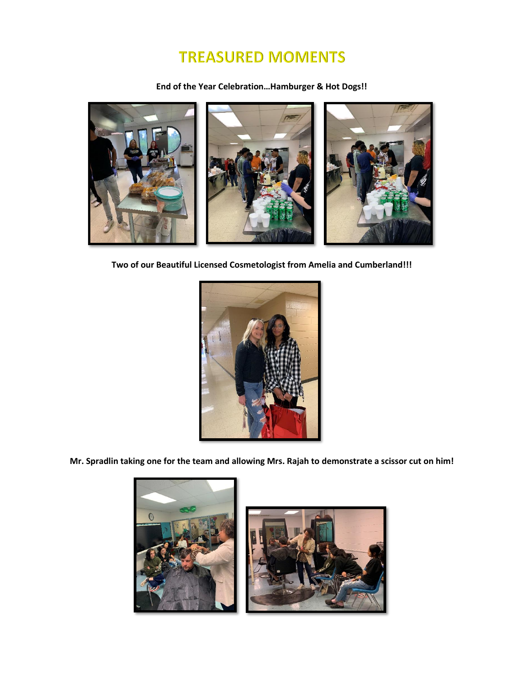## **TREASURED MOMENTS**

**End of the Year Celebration…Hamburger & Hot Dogs!!**



**Two of our Beautiful Licensed Cosmetologist from Amelia and Cumberland!!!**



**Mr. Spradlin taking one for the team and allowing Mrs. Rajah to demonstrate a scissor cut on him!**